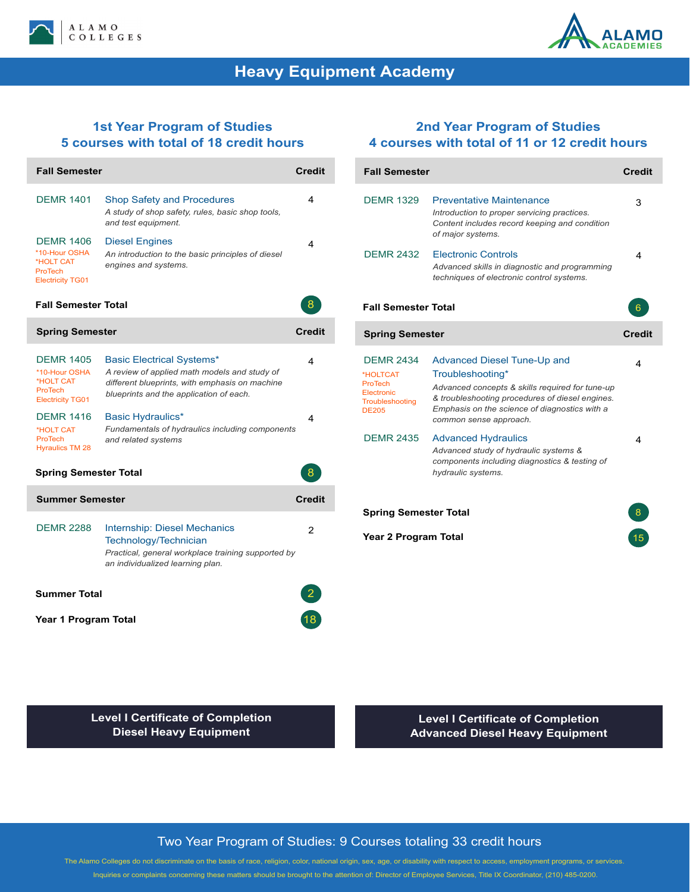



# **Heavy Equipment Academy**

## **1st Year Program of Studies 5 courses with total of 18 credit hours**

| <b>Fall Semester</b>                                                                        |                                                                                                                                                                               | <b>Credit</b> |
|---------------------------------------------------------------------------------------------|-------------------------------------------------------------------------------------------------------------------------------------------------------------------------------|---------------|
| <b>DEMR 1401</b>                                                                            | <b>Shop Safety and Procedures</b><br>A study of shop safety, rules, basic shop tools,<br>and test equipment.                                                                  | 4             |
| <b>DEMR 1406</b><br>*10-Hour OSHA<br>*HOLT CAT<br><b>ProTech</b><br><b>Electricity TG01</b> | <b>Diesel Engines</b><br>An introduction to the basic principles of diesel<br>engines and systems.                                                                            | 4             |
| <b>Fall Semester Total</b>                                                                  |                                                                                                                                                                               | 8             |
| <b>Spring Semester</b>                                                                      |                                                                                                                                                                               | <b>Credit</b> |
| <b>DEMR 1405</b><br>*10-Hour OSHA<br>*HOLT CAT<br><b>ProTech</b><br><b>Electricity TG01</b> | <b>Basic Electrical Systems*</b><br>A review of applied math models and study of<br>different blueprints, with emphasis on machine<br>blueprints and the application of each. | 4             |
| <b>DEMR 1416</b><br>*HOLT CAT<br><b>ProTech</b><br><b>Hyraulics TM 28</b>                   | Basic Hydraulics*<br>Fundamentals of hydraulics including components<br>and related systems                                                                                   | 4             |
| 8<br><b>Spring Semester Total</b>                                                           |                                                                                                                                                                               |               |
| Summer Semester                                                                             |                                                                                                                                                                               | <b>Credit</b> |
| <b>DEMR 2288</b>                                                                            | <b>Internship: Diesel Mechanics</b><br>Technology/Technician<br>Practical, general workplace training supported by<br>an individualized learning plan.                        | 2             |
| <b>Summer Total</b>                                                                         |                                                                                                                                                                               |               |
| Year 1 Program Total                                                                        |                                                                                                                                                                               |               |

## **2nd Year Program of Studies 4 courses with total of 11 or 12 credit hours**

| <b>Fall Semester</b>                                                                                   |                                                                                                                                                                                                                                         | <b>Credit</b> |
|--------------------------------------------------------------------------------------------------------|-----------------------------------------------------------------------------------------------------------------------------------------------------------------------------------------------------------------------------------------|---------------|
| <b>DFMR 1329</b>                                                                                       | <b>Preventative Maintenance</b><br>Introduction to proper servicing practices.<br>Content includes record keeping and condition<br>of major systems.                                                                                    | 3             |
| <b>DEMR 2432</b>                                                                                       | <b>Electronic Controls</b><br>Advanced skills in diagnostic and programming<br>techniques of electronic control systems.                                                                                                                | 4             |
| <b>Fall Semester Total</b>                                                                             |                                                                                                                                                                                                                                         | 6             |
| <b>Spring Semester</b>                                                                                 |                                                                                                                                                                                                                                         | <b>Credit</b> |
| <b>DEMR 2434</b><br>*HOLTCAT<br><b>ProTech</b><br>Electronic<br><b>Troubleshooting</b><br><b>DE205</b> | <b>Advanced Diesel Tune-Up and</b><br>Troubleshooting*<br>Advanced concepts & skills required for tune-up<br>& troubleshooting procedures of diesel engines.<br>Emphasis on the science of diagnostics with a<br>common sense approach. | 4             |
| <b>DEMR 2435</b>                                                                                       | <b>Advanced Hydraulics</b><br>Advanced study of hydraulic systems &<br>components including diagnostics & testing of<br>hydraulic systems.                                                                                              | 4             |
| <b>Spring Semester Total</b>                                                                           |                                                                                                                                                                                                                                         |               |
| <b>Year 2 Program Total</b>                                                                            |                                                                                                                                                                                                                                         |               |

**Level I Certificate of Completion Diesel Heavy Equipment**

**Level I Certificate of Completion Advanced Diesel Heavy Equipment**

#### Two Year Program of Studies: 9 Courses totaling 33 credit hours

The Alamo Colleges do not discriminate on the basis of race, religion, color, national origin, sex, age, or disability with respect to access, employment programs, or services. Inquiries or complaints concerning these matters should be brought to the attention of: Director of Employee Services, Title IX Coordinator, (210) 485-0200.